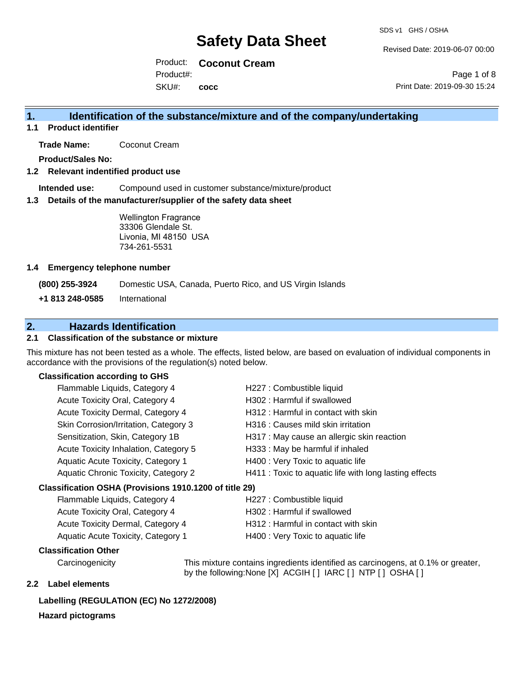Revised Date: 2019-06-07 00:00

Product: **Coconut Cream** SKU#: Product#: **cocc**

Page 1 of 8 Print Date: 2019-09-30 15:24

### **1. Identification of the substance/mixture and of the company/undertaking**

**1.1 Product identifier**

**Trade Name:** Coconut Cream

**Product/Sales No:**

**1.2 Relevant indentified product use**

**Intended use:** Compound used in customer substance/mixture/product

**1.3 Details of the manufacturer/supplier of the safety data sheet**

Wellington Fragrance 33306 Glendale St. Livonia, MI 48150 USA 734-261-5531

#### **1.4 Emergency telephone number**

**(800) 255-3924** Domestic USA, Canada, Puerto Rico, and US Virgin Islands

**+1 813 248-0585** International

### **2. Hazards Identification**

#### **2.1 Classification of the substance or mixture**

This mixture has not been tested as a whole. The effects, listed below, are based on evaluation of individual components in accordance with the provisions of the regulation(s) noted below.

#### **Classification according to GHS**

| Flammable Liquids, Category 4                        | H227 : Combustible liquid                              |  |
|------------------------------------------------------|--------------------------------------------------------|--|
| Acute Toxicity Oral, Category 4                      | H302: Harmful if swallowed                             |  |
| Acute Toxicity Dermal, Category 4                    | H312 : Harmful in contact with skin                    |  |
| Skin Corrosion/Irritation, Category 3                | H316 : Causes mild skin irritation                     |  |
| Sensitization, Skin, Category 1B                     | H317 : May cause an allergic skin reaction             |  |
| Acute Toxicity Inhalation, Category 5                | H333: May be harmful if inhaled                        |  |
| Aquatic Acute Toxicity, Category 1                   | H400 : Very Toxic to aquatic life                      |  |
| Aquatic Chronic Toxicity, Category 2                 | H411 : Toxic to aquatic life with long lasting effects |  |
| assification OSHA (Provisions 1910.1200 of title 29) |                                                        |  |
| Flammable Liquids, Category 4                        | H227 : Combustible liquid                              |  |
|                                                      | $11000 \cdot 11$ $ 11$ $12$                            |  |

#### **Classification OSHA (Provisions 1910.1200 of title 29)**

| Flammable Liquids, Category 4      | H227 : Combustible liquid          |
|------------------------------------|------------------------------------|
| Acute Toxicity Oral, Category 4    | H302 : Harmful if swallowed        |
| Acute Toxicity Dermal, Category 4  | H312: Harmful in contact with skin |
| Aquatic Acute Toxicity, Category 1 | H400 : Very Toxic to aquatic life  |

#### **Classification Other**

Carcinogenicity This mixture contains ingredients identified as carcinogens, at 0.1% or greater, by the following:None [X] ACGIH [ ] IARC [ ] NTP [ ] OSHA [ ]

#### **2.2 Label elements**

### **Labelling (REGULATION (EC) No 1272/2008)**

#### **Hazard pictograms**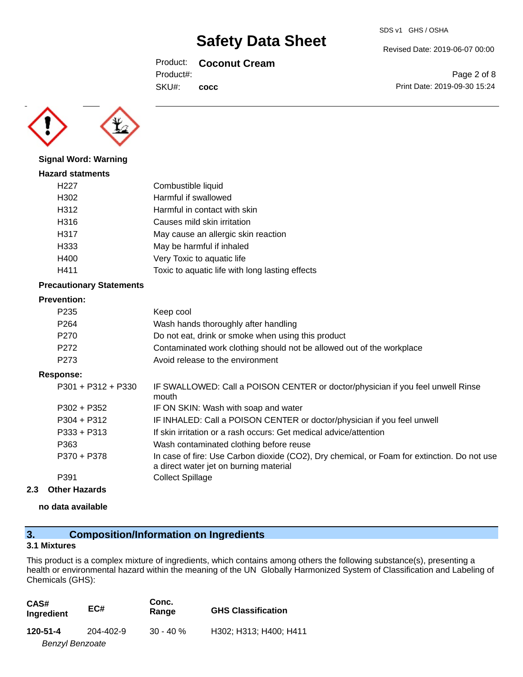#### Product: **Coconut Cream**

**cocc**

Product#:

SKU#:



### **Signal Word: Warning**

| <b>Hazard statments</b> |                                                 |
|-------------------------|-------------------------------------------------|
| H227                    | Combustible liquid                              |
| H302                    | Harmful if swallowed                            |
| H312                    | Harmful in contact with skin                    |
| H316                    | Causes mild skin irritation                     |
| H317                    | May cause an allergic skin reaction             |
| H333                    | May be harmful if inhaled                       |
| H400                    | Very Toxic to aquatic life                      |
| H411                    | Toxic to aquatic life with long lasting effects |
|                         |                                                 |

#### **Precautionary Statements**

#### **Prevention:**

| P <sub>235</sub> | Keep cool                                                             |
|------------------|-----------------------------------------------------------------------|
| P <sub>264</sub> | Wash hands thoroughly after handling                                  |
| P <sub>270</sub> | Do not eat, drink or smoke when using this product                    |
| P <sub>272</sub> | Contaminated work clothing should not be allowed out of the workplace |
| P <sub>273</sub> | Avoid release to the environment                                      |

#### **Response:**

| P301 + P312 + P330 | IF SWALLOWED: Call a POISON CENTER or doctor/physician if you feel unwell Rinse<br>mouth                                              |
|--------------------|---------------------------------------------------------------------------------------------------------------------------------------|
| $P302 + P352$      | IF ON SKIN: Wash with soap and water                                                                                                  |
| $P304 + P312$      | IF INHALED: Call a POISON CENTER or doctor/physician if you feel unwell                                                               |
| $P333 + P313$      | If skin irritation or a rash occurs: Get medical advice/attention                                                                     |
| P363               | Wash contaminated clothing before reuse                                                                                               |
| P370 + P378        | In case of fire: Use Carbon dioxide (CO2), Dry chemical, or Foam for extinction. Do not use<br>a direct water jet on burning material |
| P391               | <b>Collect Spillage</b>                                                                                                               |
|                    |                                                                                                                                       |

#### **2.3 Other Hazards**

#### **no data available**

## **3. Composition/Information on Ingredients**

### **3.1 Mixtures**

This product is a complex mixture of ingredients, which contains among others the following substance(s), presenting a health or environmental hazard within the meaning of the UN Globally Harmonized System of Classification and Labeling of Chemicals (GHS):

| CAS#<br>Ingredient     | EC#       | Conc.<br>Range | <b>GHS Classification</b> |
|------------------------|-----------|----------------|---------------------------|
| 120-51-4               | 204-402-9 | $30 - 40 \%$   | H302; H313; H400; H411    |
| <b>Benzyl Benzoate</b> |           |                |                           |

SDS v1 GHS / OSHA

Revised Date: 2019-06-07 00:00

Page 2 of 8 Print Date: 2019-09-30 15:24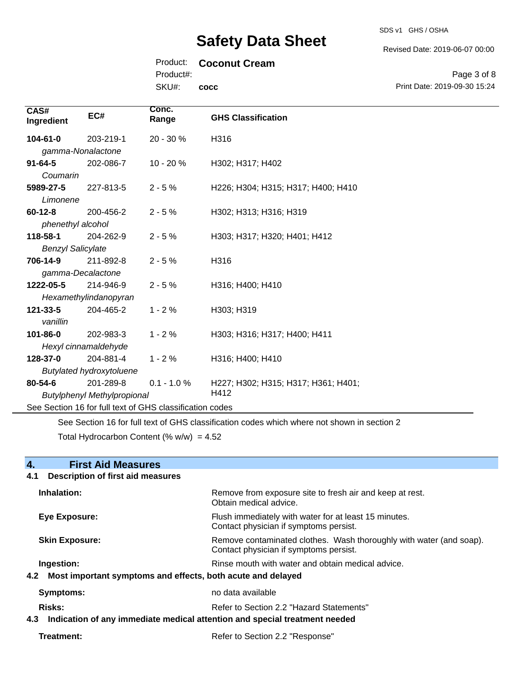SDS v1 GHS / OSHA

#### Revised Date: 2019-06-07 00:00

#### Product: **Coconut Cream**

Product#:

SKU#: **cocc**

Page 3 of 8 Print Date: 2019-09-30 15:24

| CAS#<br>Ingredient                                       | EC#                             | Conc.<br>Range | <b>GHS Classification</b>           |  |
|----------------------------------------------------------|---------------------------------|----------------|-------------------------------------|--|
| $104 - 61 - 0$                                           | 203-219-1                       | 20 - 30 %      | H316                                |  |
| gamma-Nonalactone                                        |                                 |                |                                     |  |
| $91 - 64 - 5$                                            | 202-086-7                       | $10 - 20%$     | H302; H317; H402                    |  |
| Coumarin                                                 |                                 |                |                                     |  |
| 5989-27-5                                                | 227-813-5                       | $2 - 5%$       | H226; H304; H315; H317; H400; H410  |  |
| Limonene                                                 |                                 |                |                                     |  |
| $60 - 12 - 8$                                            | 200-456-2                       | $2 - 5%$       | H302; H313; H316; H319              |  |
| phenethyl alcohol                                        |                                 |                |                                     |  |
| 118-58-1                                                 | 204-262-9                       | $2 - 5%$       | H303; H317; H320; H401; H412        |  |
|                                                          | <b>Benzyl Salicylate</b>        |                |                                     |  |
| 706-14-9                                                 | 211-892-8                       | $2 - 5%$       | H316                                |  |
| gamma-Decalactone                                        |                                 |                |                                     |  |
| 1222-05-5                                                | 214-946-9                       | $2 - 5%$       | H316; H400; H410                    |  |
| Hexamethylindanopyran                                    |                                 |                |                                     |  |
| 121-33-5                                                 | 204-465-2                       | $1 - 2%$       | H303; H319                          |  |
| vanillin                                                 |                                 |                |                                     |  |
| 101-86-0                                                 | 202-983-3                       | $1 - 2%$       | H303; H316; H317; H400; H411        |  |
|                                                          | Hexyl cinnamaldehyde            |                |                                     |  |
| 128-37-0                                                 | 204-881-4                       | $1 - 2%$       | H316; H400; H410                    |  |
|                                                          | <b>Butylated hydroxytoluene</b> |                |                                     |  |
| 80-54-6                                                  | 201-289-8                       | $0.1 - 1.0 %$  | H227; H302; H315; H317; H361; H401; |  |
| <b>Butylphenyl Methylpropional</b>                       |                                 |                | H412                                |  |
| See Section 16 for full text of GHS classification codes |                                 |                |                                     |  |

See Section 16 for full text of GHS classification codes which where not shown in section 2

Total Hydrocarbon Content (% w/w) =  $4.52$ 

| 4.<br><b>First Aid Measures</b>                                                   |                                                                                                               |  |
|-----------------------------------------------------------------------------------|---------------------------------------------------------------------------------------------------------------|--|
| <b>Description of first aid measures</b><br>4.1                                   |                                                                                                               |  |
| Inhalation:                                                                       | Remove from exposure site to fresh air and keep at rest.<br>Obtain medical advice.                            |  |
| <b>Eye Exposure:</b>                                                              | Flush immediately with water for at least 15 minutes.<br>Contact physician if symptoms persist.               |  |
| <b>Skin Exposure:</b>                                                             | Remove contaminated clothes. Wash thoroughly with water (and soap).<br>Contact physician if symptoms persist. |  |
| Ingestion:                                                                        | Rinse mouth with water and obtain medical advice.                                                             |  |
| 4.2 Most important symptoms and effects, both acute and delayed                   |                                                                                                               |  |
| <b>Symptoms:</b>                                                                  | no data available                                                                                             |  |
| <b>Risks:</b>                                                                     | Refer to Section 2.2 "Hazard Statements"                                                                      |  |
| Indication of any immediate medical attention and special treatment needed<br>4.3 |                                                                                                               |  |
| Treatment:                                                                        | Refer to Section 2.2 "Response"                                                                               |  |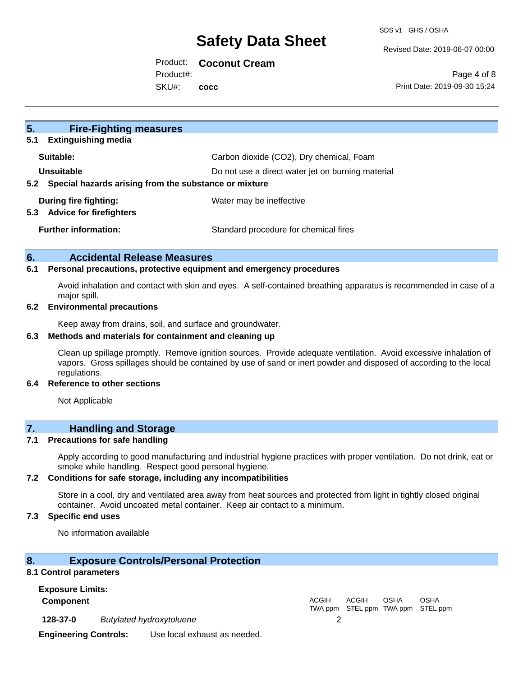Revised Date: 2019-06-07 00:00

#### Product: **Coconut Cream**

Product#:

SKU#: **cocc**

Page 4 of 8 Print Date: 2019-09-30 15:24

| 5.<br><b>Fire-Fighting measures</b><br><b>Extinguishing media</b><br>5.1   |                                                   |
|----------------------------------------------------------------------------|---------------------------------------------------|
| Suitable:                                                                  | Carbon dioxide (CO2), Dry chemical, Foam          |
| Unsuitable<br>Special hazards arising from the substance or mixture<br>5.2 | Do not use a direct water jet on burning material |
| During fire fighting:<br><b>Advice for firefighters</b><br>5.3             | Water may be ineffective                          |
| <b>Further information:</b>                                                | Standard procedure for chemical fires             |

#### **6. Accidental Release Measures**

#### **6.1 Personal precautions, protective equipment and emergency procedures**

Avoid inhalation and contact with skin and eyes. A self-contained breathing apparatus is recommended in case of a major spill.

#### **6.2 Environmental precautions**

Keep away from drains, soil, and surface and groundwater.

#### **6.3 Methods and materials for containment and cleaning up**

Clean up spillage promptly. Remove ignition sources. Provide adequate ventilation. Avoid excessive inhalation of vapors. Gross spillages should be contained by use of sand or inert powder and disposed of according to the local regulations.

#### **6.4 Reference to other sections**

Not Applicable

### **7. Handling and Storage**

#### **7.1 Precautions for safe handling**

Apply according to good manufacturing and industrial hygiene practices with proper ventilation. Do not drink, eat or smoke while handling. Respect good personal hygiene.

#### **7.2 Conditions for safe storage, including any incompatibilities**

Store in a cool, dry and ventilated area away from heat sources and protected from light in tightly closed original container. Avoid uncoated metal container. Keep air contact to a minimum.

#### **7.3 Specific end uses**

No information available

#### **8. Exposure Controls/Personal Protection**

#### **8.1 Control parameters**

**Exposure Limits:**

**Component** ACGIH

**128-37-0** *Butylated hydroxytoluene* 2

**Engineering Controls:** Use local exhaust as needed.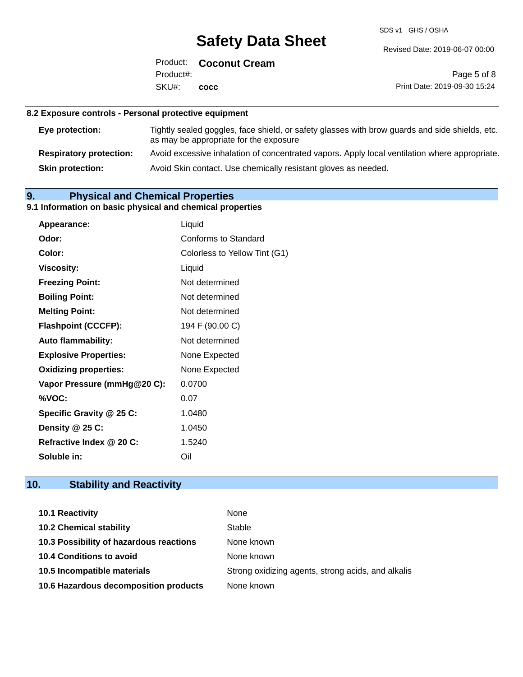SDS v1 GHS / OSHA

Revised Date: 2019-06-07 00:00

Product: **Coconut Cream** SKU#: Product#: **cocc**

Page 5 of 8 Print Date: 2019-09-30 15:24

#### **8.2 Exposure controls - Personal protective equipment**

| Eye protection:                | Tightly sealed goggles, face shield, or safety glasses with brow guards and side shields, etc.<br>as may be appropriate for the exposure |
|--------------------------------|------------------------------------------------------------------------------------------------------------------------------------------|
| <b>Respiratory protection:</b> | Avoid excessive inhalation of concentrated vapors. Apply local ventilation where appropriate.                                            |
| <b>Skin protection:</b>        | Avoid Skin contact. Use chemically resistant gloves as needed.                                                                           |

## **9. Physical and Chemical Properties**

### **9.1 Information on basic physical and chemical properties**

| Appearance:                  | Liquid                        |
|------------------------------|-------------------------------|
| Odor:                        | <b>Conforms to Standard</b>   |
| Color:                       | Colorless to Yellow Tint (G1) |
| <b>Viscosity:</b>            | Liquid                        |
| <b>Freezing Point:</b>       | Not determined                |
| <b>Boiling Point:</b>        | Not determined                |
| <b>Melting Point:</b>        | Not determined                |
| <b>Flashpoint (CCCFP):</b>   | 194 F (90.00 C)               |
| <b>Auto flammability:</b>    | Not determined                |
| <b>Explosive Properties:</b> | None Expected                 |
| <b>Oxidizing properties:</b> | None Expected                 |
| Vapor Pressure (mmHg@20 C):  | 0.0700                        |
| %VOC:                        | 0.07                          |
| Specific Gravity @ 25 C:     | 1.0480                        |
| Density @ 25 C:              | 1.0450                        |
| Refractive Index @ 20 C:     | 1.5240                        |
| Soluble in:                  | Oil                           |

## **10. Stability and Reactivity**

| 10.1 Reactivity                         | None                                               |
|-----------------------------------------|----------------------------------------------------|
| <b>10.2 Chemical stability</b>          | Stable                                             |
| 10.3 Possibility of hazardous reactions | None known                                         |
| <b>10.4 Conditions to avoid</b>         | None known                                         |
| 10.5 Incompatible materials             | Strong oxidizing agents, strong acids, and alkalis |
| 10.6 Hazardous decomposition products   | None known                                         |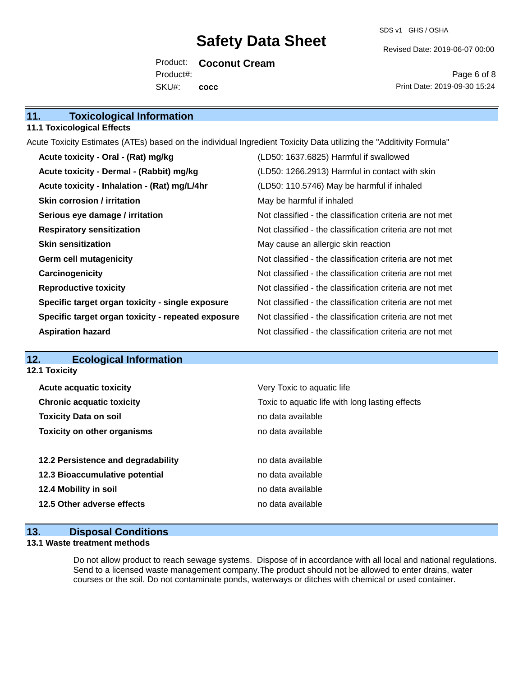Revised Date: 2019-06-07 00:00

Product: **Coconut Cream** SKU#: Product#: **cocc**

Page 6 of 8 Print Date: 2019-09-30 15:24

| 11.<br><b>Toxicological Information</b> |  |
|-----------------------------------------|--|
|-----------------------------------------|--|

#### **11.1 Toxicological Effects**

Acute Toxicity Estimates (ATEs) based on the individual Ingredient Toxicity Data utilizing the "Additivity Formula"

| Acute toxicity - Oral - (Rat) mg/kg                | (LD50: 1637.6825) Harmful if swallowed                   |
|----------------------------------------------------|----------------------------------------------------------|
| Acute toxicity - Dermal - (Rabbit) mg/kg           | (LD50: 1266.2913) Harmful in contact with skin           |
| Acute toxicity - Inhalation - (Rat) mg/L/4hr       | (LD50: 110.5746) May be harmful if inhaled               |
| <b>Skin corrosion / irritation</b>                 | May be harmful if inhaled                                |
| Serious eye damage / irritation                    | Not classified - the classification criteria are not met |
| <b>Respiratory sensitization</b>                   | Not classified - the classification criteria are not met |
| <b>Skin sensitization</b>                          | May cause an allergic skin reaction                      |
| <b>Germ cell mutagenicity</b>                      | Not classified - the classification criteria are not met |
| Carcinogenicity                                    | Not classified - the classification criteria are not met |
| <b>Reproductive toxicity</b>                       | Not classified - the classification criteria are not met |
| Specific target organ toxicity - single exposure   | Not classified - the classification criteria are not met |
| Specific target organ toxicity - repeated exposure | Not classified - the classification criteria are not met |
| <b>Aspiration hazard</b>                           | Not classified - the classification criteria are not met |

### **12. Ecological Information**

**12.1 Toxicity**

| <b>Acute acquatic toxicity</b>     | Very Toxic to aquatic life                      |
|------------------------------------|-------------------------------------------------|
| <b>Chronic acquatic toxicity</b>   | Toxic to aquatic life with long lasting effects |
| <b>Toxicity Data on soil</b>       | no data available                               |
| <b>Toxicity on other organisms</b> | no data available                               |
|                                    |                                                 |
| 12.2 Persistence and degradability | no data available                               |
| 12.3 Bioaccumulative potential     | no data available                               |
| 12.4 Mobility in soil              | no data available                               |
| 12.5 Other adverse effects         | no data available                               |
|                                    |                                                 |

### **13. Disposal Conditions**

#### **13.1 Waste treatment methods**

Do not allow product to reach sewage systems. Dispose of in accordance with all local and national regulations. Send to a licensed waste management company.The product should not be allowed to enter drains, water courses or the soil. Do not contaminate ponds, waterways or ditches with chemical or used container.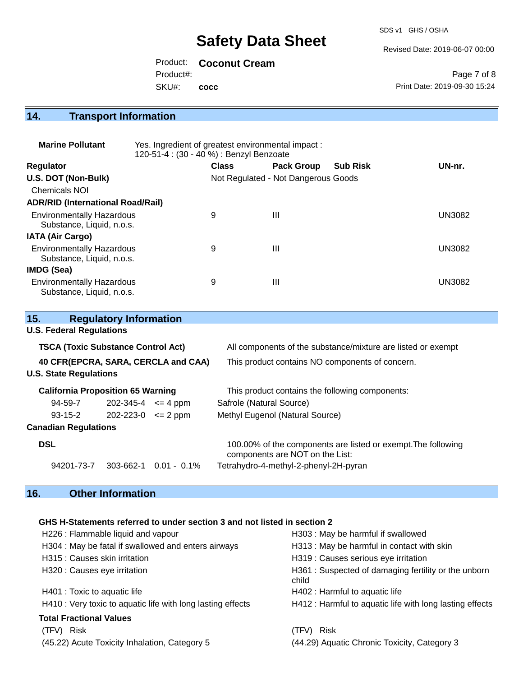SDS v1 GHS / OSHA

Revised Date: 2019-06-07 00:00

Product: **Coconut Cream**

Product#:

SKU#: **cocc**

Page 7 of 8 Print Date: 2019-09-30 15:24

# **14. Transport Information**

| <b>Marine Pollutant</b>                                       | Yes. Ingredient of greatest environmental impact:<br>120-51-4 : (30 - 40 %) : Benzyl Benzoate |              |                                     |                 |               |
|---------------------------------------------------------------|-----------------------------------------------------------------------------------------------|--------------|-------------------------------------|-----------------|---------------|
| <b>Regulator</b>                                              |                                                                                               | <b>Class</b> | <b>Pack Group</b>                   | <b>Sub Risk</b> | UN-nr.        |
| U.S. DOT (Non-Bulk)                                           |                                                                                               |              | Not Regulated - Not Dangerous Goods |                 |               |
| <b>Chemicals NOI</b>                                          |                                                                                               |              |                                     |                 |               |
| <b>ADR/RID (International Road/Rail)</b>                      |                                                                                               |              |                                     |                 |               |
| <b>Environmentally Hazardous</b><br>Substance, Liquid, n.o.s. |                                                                                               | 9            | $\mathbf{III}$                      |                 | <b>UN3082</b> |
| <b>IATA (Air Cargo)</b>                                       |                                                                                               |              |                                     |                 |               |
| <b>Environmentally Hazardous</b><br>Substance, Liquid, n.o.s. |                                                                                               | 9            | $\mathbf{III}$                      |                 | <b>UN3082</b> |
| <b>IMDG (Sea)</b>                                             |                                                                                               |              |                                     |                 |               |
| <b>Environmentally Hazardous</b><br>Substance, Liquid, n.o.s. |                                                                                               | 9            | Ш                                   |                 | UN3082        |

| 15.                                 | <b>Regulatory Information</b>             |                |                                                                                                  |  |
|-------------------------------------|-------------------------------------------|----------------|--------------------------------------------------------------------------------------------------|--|
| <b>U.S. Federal Regulations</b>     |                                           |                |                                                                                                  |  |
|                                     | <b>TSCA (Toxic Substance Control Act)</b> |                | All components of the substance/mixture are listed or exempt                                     |  |
| 40 CFR(EPCRA, SARA, CERCLA and CAA) |                                           |                | This product contains NO components of concern.                                                  |  |
| <b>U.S. State Regulations</b>       |                                           |                |                                                                                                  |  |
|                                     | <b>California Proposition 65 Warning</b>  |                | This product contains the following components:                                                  |  |
| 94-59-7                             | $202 - 345 - 4 \leq 4$ ppm                |                | Safrole (Natural Source)                                                                         |  |
| $93 - 15 - 2$                       | $202 - 223 - 0 \leq 2$ ppm                |                | Methyl Eugenol (Natural Source)                                                                  |  |
| <b>Canadian Regulations</b>         |                                           |                |                                                                                                  |  |
| <b>DSL</b>                          |                                           |                | 100.00% of the components are listed or exempt. The following<br>components are NOT on the List: |  |
| 94201-73-7                          | 303-662-1                                 | $0.01 - 0.1\%$ | Tetrahydro-4-methyl-2-phenyl-2H-pyran                                                            |  |

# **16. Other Information**

### **GHS H-Statements referred to under section 3 and not listed in section 2**

| H226 : Flammable liquid and vapour                          | H303: May be harmful if swallowed                            |
|-------------------------------------------------------------|--------------------------------------------------------------|
| H304 : May be fatal if swallowed and enters airways         | H313 : May be harmful in contact with skin                   |
| H315 : Causes skin irritation                               | H319 : Causes serious eye irritation                         |
| H320 : Causes eye irritation                                | H361: Suspected of damaging fertility or the unborn<br>child |
| H401 : Toxic to aquatic life                                | H402 : Harmful to aquatic life                               |
| H410 : Very toxic to aquatic life with long lasting effects | H412 : Harmful to aquatic life with long lasting effects     |
| <b>Total Fractional Values</b>                              |                                                              |
| Risk<br>(TFV)                                               | <b>Risk</b><br>(TFV) -                                       |
| (45.22) Acute Toxicity Inhalation, Category 5               | (44.29) Aquatic Chronic Toxicity, Category 3                 |
|                                                             |                                                              |